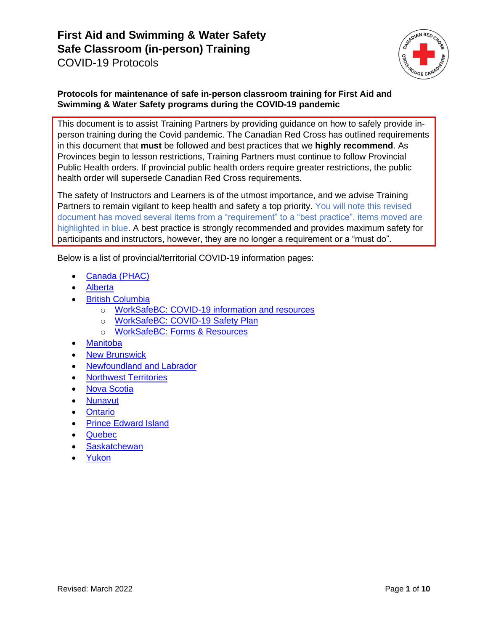

### **Protocols for maintenance of safe in-person classroom training for First Aid and Swimming & Water Safety programs during the COVID-19 pandemic**

This document is to assist Training Partners by providing guidance on how to safely provide inperson training during the Covid pandemic. The Canadian Red Cross has outlined requirements in this document that **must** be followed and best practices that we **highly recommend**. As Provinces begin to lesson restrictions, Training Partners must continue to follow Provincial Public Health orders. If provincial public health orders require greater restrictions, the public health order will supersede Canadian Red Cross requirements.

The safety of Instructors and Learners is of the utmost importance, and we advise Training Partners to remain vigilant to keep health and safety a top priority. You will note this revised document has moved several items from a "requirement" to a "best practice", items moved are highlighted in blue. A best practice is strongly recommended and provides maximum safety for participants and instructors, however, they are no longer a requirement or a "must do".

Below is a list of provincial/territorial COVID-19 information pages:

- [Canada \(PHAC\)](https://www.canada.ca/en/public-health/services/diseases/coronavirus-disease-covid-19.html)
- [Alberta](https://www.alberta.ca/coronavirus-info-for-albertans.aspx)
- **[British Columbia](https://www2.gov.bc.ca/gov/content/safety/emergency-preparedness-response-recovery/covid-19-provincial-support)** 
	- o [WorkSafeBC: COVID-19 information and resources](https://www.worksafebc.com/en/about-us/covid-19-updates)
	- o [WorkSafeBC: COVID-19 Safety Plan](https://www.worksafebc.com/en/resources/health-safety/checklist/covid-19-safety-plan?lang=en)
	- o [WorkSafeBC: Forms & Resources](https://www.worksafebc.com/en/forms-resources#sort=%40fcomputeditemdatefield343%20descending&f:language-facet=[English]&tags=Covid-19|a96b6c96607345c481bb8621425ea03f)
- [Manitoba](https://www.gov.mb.ca/covid19/index.html)
- **[New Brunswick](https://www2.gnb.ca/content/gnb/en/corporate/promo/covid-19.html)**
- [Newfoundland and Labrador](https://www.gov.nl.ca/covid-19/)
- [Northwest Territories](https://www.gov.nt.ca/covid-19/)
- [Nova Scotia](https://novascotia.ca/coronavirus/)
- [Nunavut](https://www.gov.nu.ca/health/information/covid-19-novel-coronavirus)
- **[Ontario](https://www.ontario.ca/page/how-ontario-is-responding-covid-19)**
- [Prince Edward Island](https://www.princeedwardisland.ca/en/topic/covid-19)
- [Quebec](https://www.quebec.ca/en/health/health-issues/a-z/2019-coronavirus/)
- **[Saskatchewan](https://www.saskatchewan.ca/government/health-care-administration-and-provider-resources/treatment-procedures-and-guidelines/emerging-public-health-issues/2019-novel-coronavirus)**
- [Yukon](https://yukon.ca/covid-19)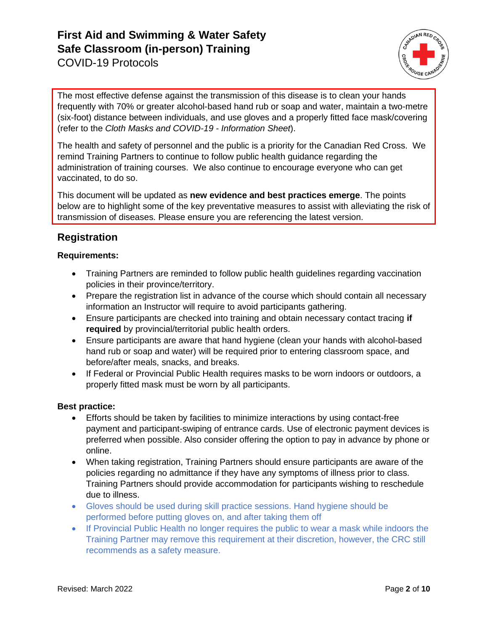

The most effective defense against the transmission of this disease is to clean your hands frequently with 70% or greater alcohol-based hand rub or soap and water, maintain a two-metre (six-foot) distance between individuals, and use gloves and a properly fitted face mask/covering (refer to the *Cloth Masks and COVID-19 - Information Sheet*).

The health and safety of personnel and the public is a priority for the Canadian Red Cross. We remind Training Partners to continue to follow public health guidance regarding the administration of training courses. We also continue to encourage everyone who can get vaccinated, to do so.

This document will be updated as **new evidence and best practices emerge**. The points below are to highlight some of the key preventative measures to assist with alleviating the risk of transmission of diseases. Please ensure you are referencing the latest version.

### **Registration**

#### **Requirements:**

- Training Partners are reminded to follow public health guidelines regarding vaccination policies in their province/territory.
- Prepare the registration list in advance of the course which should contain all necessary information an Instructor will require to avoid participants gathering.
- Ensure participants are checked into training and obtain necessary contact tracing **if required** by provincial/territorial public health orders.
- Ensure participants are aware that hand hygiene (clean your hands with alcohol-based hand rub or soap and water) will be required prior to entering classroom space, and before/after meals, snacks, and breaks.
- If Federal or Provincial Public Health requires masks to be worn indoors or outdoors, a properly fitted mask must be worn by all participants.

#### **Best practice:**

- Efforts should be taken by facilities to minimize interactions by using contact-free payment and participant-swiping of entrance cards. Use of electronic payment devices is preferred when possible. Also consider offering the option to pay in advance by phone or online.
- When taking registration, Training Partners should ensure participants are aware of the policies regarding no admittance if they have any symptoms of illness prior to class. Training Partners should provide accommodation for participants wishing to reschedule due to illness.
- Gloves should be used during skill practice sessions. Hand hygiene should be performed before putting gloves on, and after taking them off
- If Provincial Public Health no longer requires the public to wear a mask while indoors the Training Partner may remove this requirement at their discretion, however, the CRC still recommends as a safety measure.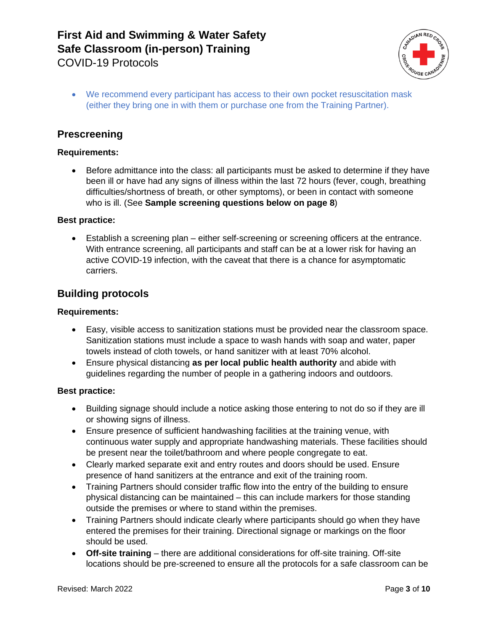

• We recommend every participant has access to their own pocket resuscitation mask (either they bring one in with them or purchase one from the Training Partner).

### **Prescreening**

#### **Requirements:**

• Before admittance into the class: all participants must be asked to determine if they have been ill or have had any signs of illness within the last 72 hours (fever, cough, breathing difficulties/shortness of breath, or other symptoms), or been in contact with someone who is ill. (See **Sample screening questions below on page 8**)

#### **Best practice:**

• Establish a screening plan – either self-screening or screening officers at the entrance. With entrance screening, all participants and staff can be at a lower risk for having an active COVID-19 infection, with the caveat that there is a chance for asymptomatic carriers.

### **Building protocols**

#### **Requirements:**

- Easy, visible access to sanitization stations must be provided near the classroom space. Sanitization stations must include a space to wash hands with soap and water, paper towels instead of cloth towels, or hand sanitizer with at least 70% alcohol.
- Ensure physical distancing **as per local public health authority** and abide with guidelines regarding the number of people in a gathering indoors and outdoors.

#### **Best practice:**

- Building signage should include a notice asking those entering to not do so if they are ill or showing signs of illness.
- Ensure presence of sufficient handwashing facilities at the training venue, with continuous water supply and appropriate handwashing materials. These facilities should be present near the toilet/bathroom and where people congregate to eat.
- Clearly marked separate exit and entry routes and doors should be used. Ensure presence of hand sanitizers at the entrance and exit of the training room.
- Training Partners should consider traffic flow into the entry of the building to ensure physical distancing can be maintained – this can include markers for those standing outside the premises or where to stand within the premises.
- Training Partners should indicate clearly where participants should go when they have entered the premises for their training. Directional signage or markings on the floor should be used.
- **Off-site training** there are additional considerations for off-site training. Off-site locations should be pre-screened to ensure all the protocols for a safe classroom can be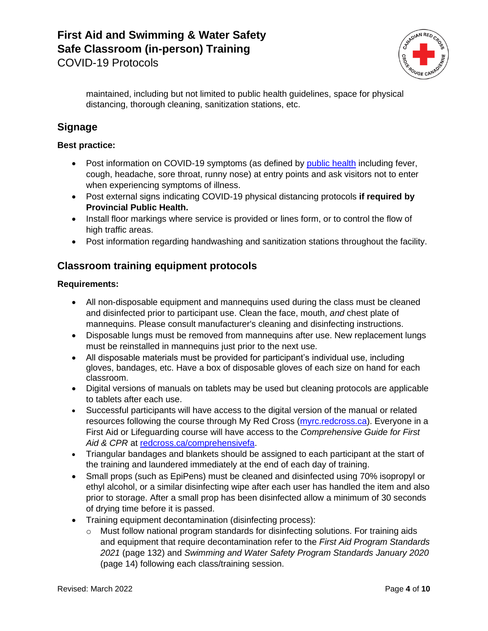

maintained, including but not limited to public health guidelines, space for physical distancing, thorough cleaning, sanitization stations, etc.

# **Signage**

#### **Best practice:**

- Post information on COVID-19 symptoms (as defined by [public health](https://www.canada.ca/en/public-health/services/diseases/2019-novel-coronavirus-infection/symptoms.html) including fever, cough, headache, sore throat, runny nose) at entry points and ask visitors not to enter when experiencing symptoms of illness.
- Post external signs indicating COVID-19 physical distancing protocols **if required by Provincial Public Health.**
- Install floor markings where service is provided or lines form, or to control the flow of high traffic areas.
- Post information regarding handwashing and sanitization stations throughout the facility.

### **Classroom training equipment protocols**

#### **Requirements:**

- All non-disposable equipment and mannequins used during the class must be cleaned and disinfected prior to participant use. Clean the face, mouth, *and* chest plate of mannequins. Please consult manufacturer's cleaning and disinfecting instructions.
- Disposable lungs must be removed from mannequins after use. New replacement lungs must be reinstalled in mannequins just prior to the next use.
- All disposable materials must be provided for participant's individual use, including gloves, bandages, etc. Have a box of disposable gloves of each size on hand for each classroom.
- Digital versions of manuals on tablets may be used but cleaning protocols are applicable to tablets after each use.
- Successful participants will have access to the digital version of the manual or related resources following the course through My Red Cross [\(myrc.redcross.ca\)](https://myrc.redcross.ca/). Everyone in a First Aid or Lifeguarding course will have access to the *Comprehensive Guide for First*  Aid & CPR at [redcross.ca/comprehensivefa.](http://www.redcross.ca/comprehensivefa)
- Triangular bandages and blankets should be assigned to each participant at the start of the training and laundered immediately at the end of each day of training.
- Small props (such as EpiPens) must be cleaned and disinfected using 70% isopropyl or ethyl alcohol, or a similar disinfecting wipe after each user has handled the item and also prior to storage. After a small prop has been disinfected allow a minimum of 30 seconds of drying time before it is passed.
- Training equipment decontamination (disinfecting process):
	- $\circ$  Must follow national program standards for disinfecting solutions. For training aids and equipment that require decontamination refer to the *First Aid Program Standards 2021* (page 132) and *Swimming and Water Safety Program Standards January 2020* (page 14) following each class/training session.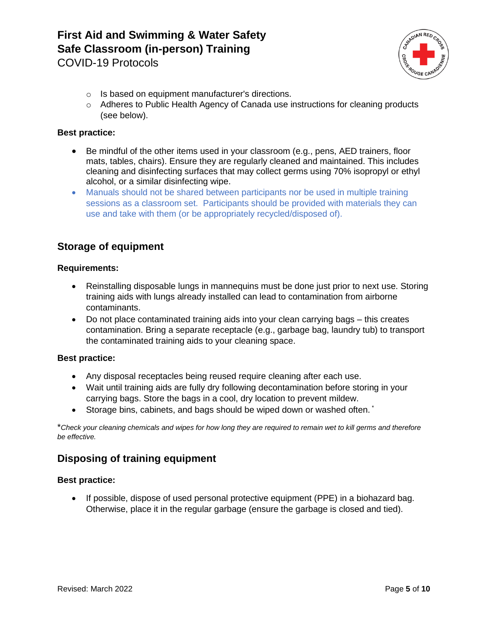

- o Is based on equipment manufacturer's directions.
- $\circ$  Adheres to Public Health Agency of Canada use instructions for cleaning products (see below).

#### **Best practice:**

- Be mindful of the other items used in your classroom (e.g., pens, AED trainers, floor mats, tables, chairs). Ensure they are regularly cleaned and maintained. This includes cleaning and disinfecting surfaces that may collect germs using 70% isopropyl or ethyl alcohol, or a similar disinfecting wipe.
- Manuals should not be shared between participants nor be used in multiple training sessions as a classroom set. Participants should be provided with materials they can use and take with them (or be appropriately recycled/disposed of).

### **Storage of equipment**

#### **Requirements:**

- Reinstalling disposable lungs in mannequins must be done just prior to next use. Storing training aids with lungs already installed can lead to contamination from airborne contaminants.
- Do not place contaminated training aids into your clean carrying bags this creates contamination. Bring a separate receptacle (e.g., garbage bag, laundry tub) to transport the contaminated training aids to your cleaning space.

#### **Best practice:**

- Any disposal receptacles being reused require cleaning after each use.
- Wait until training aids are fully dry following decontamination before storing in your carrying bags. Store the bags in a cool, dry location to prevent mildew.
- Storage bins, cabinets, and bags should be wiped down or washed often.

\**Check your cleaning chemicals and wipes for how long they are required to remain wet to kill germs and therefore be effective.*

### **Disposing of training equipment**

#### **Best practice:**

• If possible, dispose of used personal protective equipment (PPE) in a biohazard bag. Otherwise, place it in the regular garbage (ensure the garbage is closed and tied).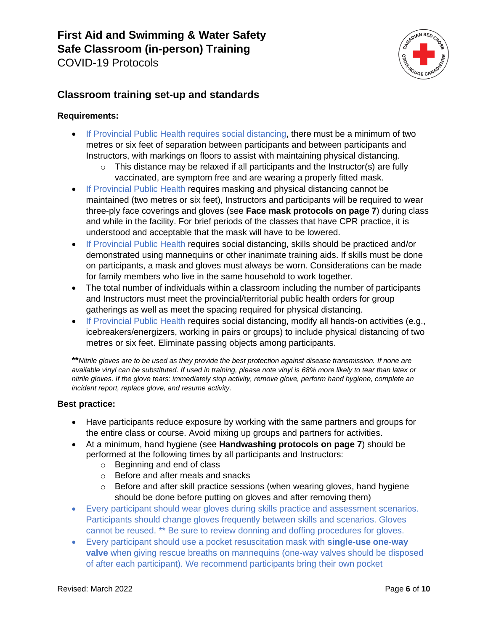

# **Classroom training set-up and standards**

#### **Requirements:**

- If Provincial Public Health requires social distancing, there must be a minimum of two metres or six feet of separation between participants and between participants and Instructors, with markings on floors to assist with maintaining physical distancing.
	- $\circ$  This distance may be relaxed if all participants and the Instructor(s) are fully vaccinated, are symptom free and are wearing a properly fitted mask.
- If Provincial Public Health requires masking and physical distancing cannot be maintained (two metres or six feet), Instructors and participants will be required to wear three-ply face coverings and gloves (see **Face mask protocols on page 7**) during class and while in the facility. For brief periods of the classes that have CPR practice, it is understood and acceptable that the mask will have to be lowered.
- If Provincial Public Health requires social distancing, skills should be practiced and/or demonstrated using mannequins or other inanimate training aids. If skills must be done on participants, a mask and gloves must always be worn. Considerations can be made for family members who live in the same household to work together.
- The total number of individuals within a classroom including the number of participants and Instructors must meet the provincial/territorial public health orders for group gatherings as well as meet the spacing required for physical distancing.
- If Provincial Public Health requires social distancing, modify all hands-on activities (e.g., icebreakers/energizers, working in pairs or groups) to include physical distancing of two metres or six feet. Eliminate passing objects among participants.

**\*\****Nitrile gloves are to be used as they provide the best protection against disease transmission. If none are available vinyl can be substituted. If used in training, please note vinyl is 68% more likely to tear than latex or nitrile gloves. If the glove tears: immediately stop activity, remove glove, perform hand hygiene, complete an incident report, replace glove, and resume activity.*

#### **Best practice:**

- Have participants reduce exposure by working with the same partners and groups for the entire class or course. Avoid mixing up groups and partners for activities.
- At a minimum, hand hygiene (see **Handwashing protocols on page 7**) should be performed at the following times by all participants and Instructors:
	- o Beginning and end of class
	- o Before and after meals and snacks
	- o Before and after skill practice sessions (when wearing gloves, hand hygiene should be done before putting on gloves and after removing them)
- Every participant should wear gloves during skills practice and assessment scenarios. Participants should change gloves frequently between skills and scenarios. Gloves cannot be reused. \*\* Be sure to review donning and doffing procedures for gloves.
- Every participant should use a pocket resuscitation mask with **single-use one-way valve** when giving rescue breaths on mannequins (one-way valves should be disposed of after each participant). We recommend participants bring their own pocket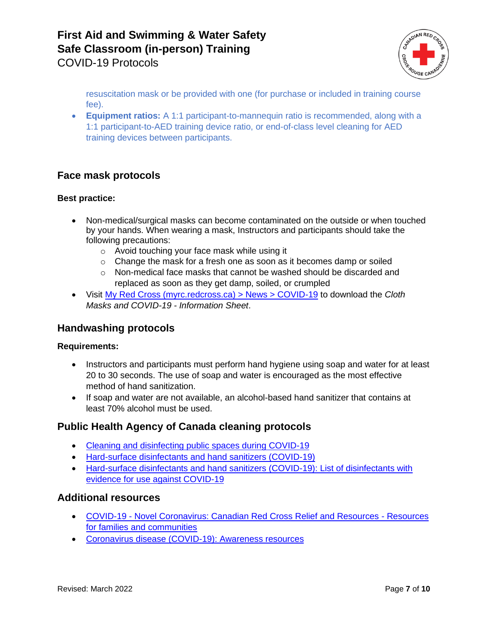

resuscitation mask or be provided with one (for purchase or included in training course fee).

• **Equipment ratios:** A 1:1 participant-to-mannequin ratio is recommended, along with a 1:1 participant-to-AED training device ratio, or end-of-class level cleaning for AED training devices between participants.

### **Face mask protocols**

#### **Best practice:**

- Non-medical/surgical masks can become contaminated on the outside or when touched by your hands. When wearing a mask, Instructors and participants should take the following precautions:
	- o Avoid touching your face mask while using it
	- o Change the mask for a fresh one as soon as it becomes damp or soiled
	- o Non-medical face masks that cannot be washed should be discarded and replaced as soon as they get damp, soiled, or crumpled
- Visit [My Red Cross \(myrc.redcross.ca\) > News > COVID-19](https://myrc.redcross.ca/en/News/covid-19/) to download the *Cloth Masks and COVID-19 - Information Sheet*.

### **Handwashing protocols**

#### **Requirements:**

- Instructors and participants must perform hand hygiene using soap and water for at least 20 to 30 seconds. The use of soap and water is encouraged as the most effective method of hand sanitization.
- If soap and water are not available, an alcohol-based hand sanitizer that contains at least 70% alcohol must be used.

### **Public Health Agency of Canada cleaning protocols**

- [Cleaning and disinfecting public spaces during COVID-19](https://www.canada.ca/en/public-health/services/publications/diseases-conditions/cleaning-disinfecting-public-spaces.html)
- [Hard-surface disinfectants and hand sanitizers \(COVID-19\)](https://www.canada.ca/en/health-canada/services/drugs-health-products/disinfectants/covid-19.html#a3)
- [Hard-surface disinfectants and hand sanitizers \(COVID-19\): List of disinfectants with](https://www.canada.ca/en/health-canada/services/drugs-health-products/disinfectants/covid-19/list.html)  [evidence for use against COVID-19](https://www.canada.ca/en/health-canada/services/drugs-health-products/disinfectants/covid-19/list.html)

### **Additional resources**

- COVID-19 [Novel Coronavirus: Canadian Red Cross Relief and Resources -](https://www.redcross.ca/how-we-help/current-emergency-responses/covid-19-%E2%80%93-novel-coronavirus#Resourcesforfamiliesandcommunities) Resources [for families and](https://www.redcross.ca/how-we-help/current-emergency-responses/covid-19-%E2%80%93-novel-coronavirus#Resourcesforfamiliesandcommunities) communities
- [Coronavirus disease \(COVID-19\): Awareness resources](https://www.canada.ca/en/public-health/services/diseases/2019-novel-coronavirus-infection/awareness-resources.html)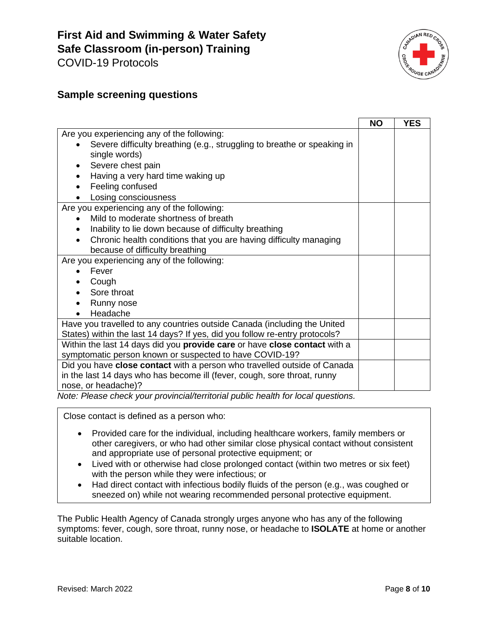

### **Sample screening questions**

|                                                                                                                                                                                                                                                                                                                                                                                                                                                                                   | <b>NO</b> | <b>YES</b> |
|-----------------------------------------------------------------------------------------------------------------------------------------------------------------------------------------------------------------------------------------------------------------------------------------------------------------------------------------------------------------------------------------------------------------------------------------------------------------------------------|-----------|------------|
| Are you experiencing any of the following:                                                                                                                                                                                                                                                                                                                                                                                                                                        |           |            |
| Severe difficulty breathing (e.g., struggling to breathe or speaking in<br>$\bullet$                                                                                                                                                                                                                                                                                                                                                                                              |           |            |
| single words)                                                                                                                                                                                                                                                                                                                                                                                                                                                                     |           |            |
| Severe chest pain<br>٠                                                                                                                                                                                                                                                                                                                                                                                                                                                            |           |            |
| Having a very hard time waking up                                                                                                                                                                                                                                                                                                                                                                                                                                                 |           |            |
| Feeling confused                                                                                                                                                                                                                                                                                                                                                                                                                                                                  |           |            |
| Losing consciousness                                                                                                                                                                                                                                                                                                                                                                                                                                                              |           |            |
| Are you experiencing any of the following:                                                                                                                                                                                                                                                                                                                                                                                                                                        |           |            |
| Mild to moderate shortness of breath<br>$\bullet$                                                                                                                                                                                                                                                                                                                                                                                                                                 |           |            |
| Inability to lie down because of difficulty breathing<br>$\bullet$                                                                                                                                                                                                                                                                                                                                                                                                                |           |            |
| Chronic health conditions that you are having difficulty managing<br>$\bullet$                                                                                                                                                                                                                                                                                                                                                                                                    |           |            |
| because of difficulty breathing                                                                                                                                                                                                                                                                                                                                                                                                                                                   |           |            |
| Are you experiencing any of the following:                                                                                                                                                                                                                                                                                                                                                                                                                                        |           |            |
| Fever                                                                                                                                                                                                                                                                                                                                                                                                                                                                             |           |            |
| Cough                                                                                                                                                                                                                                                                                                                                                                                                                                                                             |           |            |
| Sore throat                                                                                                                                                                                                                                                                                                                                                                                                                                                                       |           |            |
| Runny nose                                                                                                                                                                                                                                                                                                                                                                                                                                                                        |           |            |
| Headache                                                                                                                                                                                                                                                                                                                                                                                                                                                                          |           |            |
| Have you travelled to any countries outside Canada (including the United                                                                                                                                                                                                                                                                                                                                                                                                          |           |            |
| States) within the last 14 days? If yes, did you follow re-entry protocols?                                                                                                                                                                                                                                                                                                                                                                                                       |           |            |
| Within the last 14 days did you provide care or have close contact with a                                                                                                                                                                                                                                                                                                                                                                                                         |           |            |
| symptomatic person known or suspected to have COVID-19?                                                                                                                                                                                                                                                                                                                                                                                                                           |           |            |
| Did you have close contact with a person who travelled outside of Canada                                                                                                                                                                                                                                                                                                                                                                                                          |           |            |
| in the last 14 days who has become ill (fever, cough, sore throat, runny                                                                                                                                                                                                                                                                                                                                                                                                          |           |            |
| nose, or headache)?<br>$\mathcal{L} = \mathcal{L} + \mathcal{L} \mathcal{L} = \mathcal{L} \mathcal{L} + \mathcal{L} \mathcal{L} + \mathcal{L} \mathcal{L} + \mathcal{L} \mathcal{L} + \mathcal{L} \mathcal{L} + \mathcal{L} \mathcal{L} + \mathcal{L} \mathcal{L} + \mathcal{L} \mathcal{L} + \mathcal{L} \mathcal{L} + \mathcal{L} \mathcal{L} + \mathcal{L} \mathcal{L} + \mathcal{L} \mathcal{L} + \mathcal{L} \mathcal{L} + \mathcal{L} \mathcal{L} + \mathcal{L} \mathcal{L$ |           |            |

*Note: Please check your provincial/territorial public health for local questions.*

Close contact is defined as a person who:

- Provided care for the individual, including healthcare workers, family members or other caregivers, or who had other similar close physical contact without consistent and appropriate use of personal protective equipment; or
- Lived with or otherwise had close prolonged contact (within two metres or six feet) with the person while they were infectious; or
- Had direct contact with infectious bodily fluids of the person (e.g., was coughed or sneezed on) while not wearing recommended personal protective equipment.

The Public Health Agency of Canada strongly urges anyone who has any of the following symptoms: fever, cough, sore throat, runny nose, or headache to **ISOLATE** at home or another suitable location.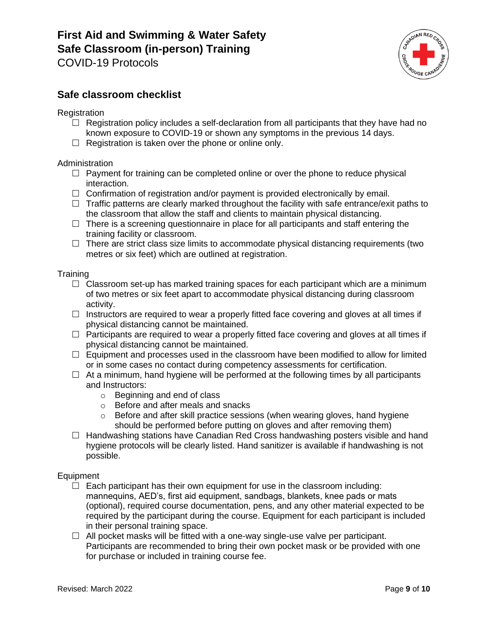# **First Aid and Swimming & Water Safety Safe Classroom (in-person) Training**

COVID-19 Protocols



### **Safe classroom checklist**

**Registration** 

- $\Box$  Registration policy includes a self-declaration from all participants that they have had no known exposure to COVID-19 or shown any symptoms in the previous 14 days.
- $\Box$  Registration is taken over the phone or online only.

#### **Administration**

- $\Box$  Payment for training can be completed online or over the phone to reduce physical interaction.
- $\Box$  Confirmation of registration and/or payment is provided electronically by email.
- $\Box$  Traffic patterns are clearly marked throughout the facility with safe entrance/exit paths to the classroom that allow the staff and clients to maintain physical distancing.
- $\Box$  There is a screening questionnaire in place for all participants and staff entering the training facility or classroom.
- $\Box$  There are strict class size limits to accommodate physical distancing requirements (two metres or six feet) which are outlined at registration.

#### **Training**

- $\Box$  Classroom set-up has marked training spaces for each participant which are a minimum of two metres or six feet apart to accommodate physical distancing during classroom activity.
- $\Box$  Instructors are required to wear a properly fitted face covering and gloves at all times if physical distancing cannot be maintained.
- $\Box$  Participants are required to wear a properly fitted face covering and gloves at all times if physical distancing cannot be maintained.
- $\Box$  Equipment and processes used in the classroom have been modified to allow for limited or in some cases no contact during competency assessments for certification.
- $\Box$  At a minimum, hand hygiene will be performed at the following times by all participants and Instructors:
	- o Beginning and end of class
	- o Before and after meals and snacks
	- $\circ$  Before and after skill practice sessions (when wearing gloves, hand hygiene should be performed before putting on gloves and after removing them)
- $\Box$  Handwashing stations have Canadian Red Cross handwashing posters visible and hand hygiene protocols will be clearly listed. Hand sanitizer is available if handwashing is not possible.

#### Equipment

- $\Box$  Each participant has their own equipment for use in the classroom including: mannequins, AED's, first aid equipment, sandbags, blankets, knee pads or mats (optional), required course documentation, pens, and any other material expected to be required by the participant during the course. Equipment for each participant is included in their personal training space.
- $\Box$  All pocket masks will be fitted with a one-way single-use valve per participant. Participants are recommended to bring their own pocket mask or be provided with one for purchase or included in training course fee.